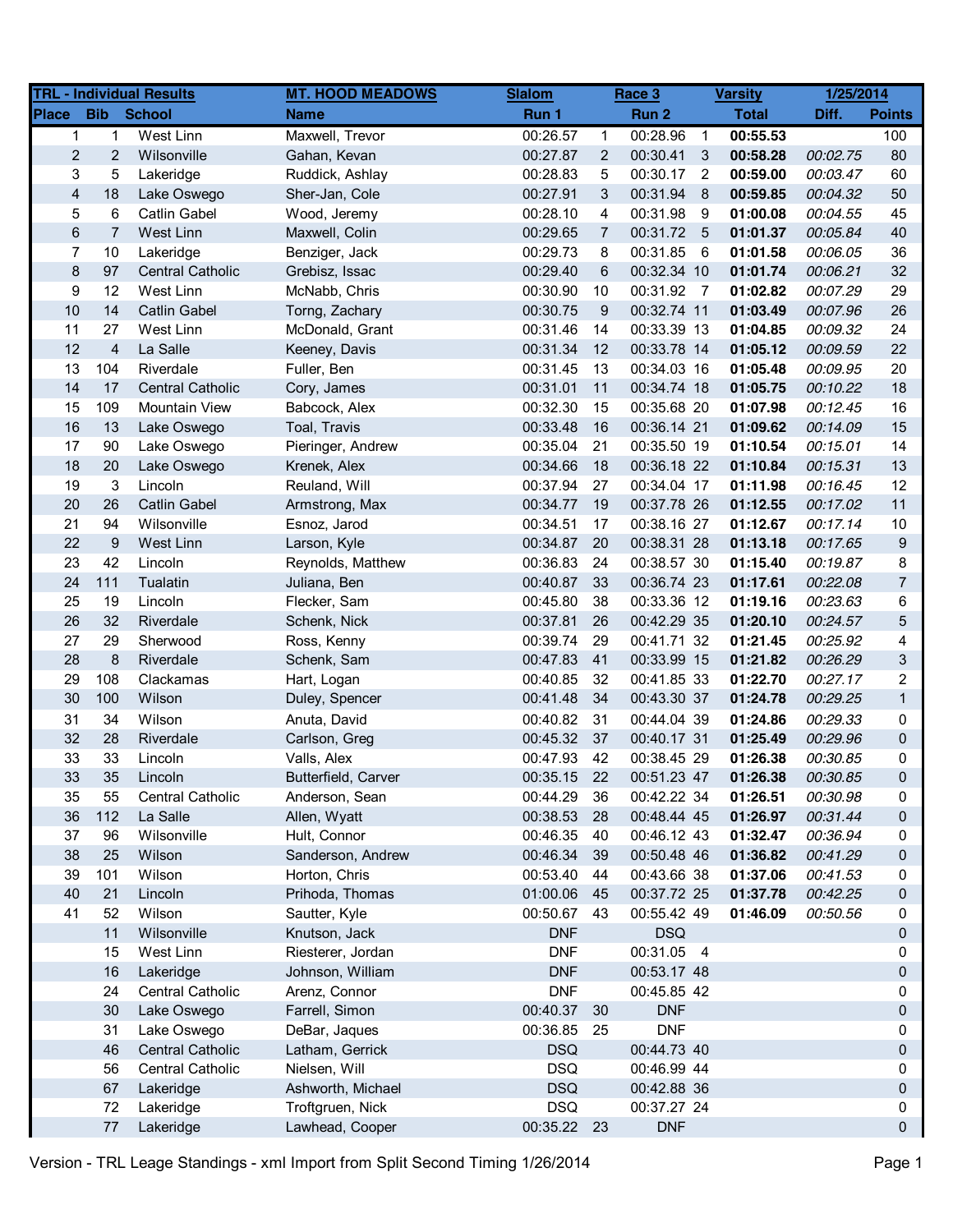|                         |                         | <b>TRL - Individual Results</b> | <b>MT. HOOD MEADOWS</b> | <b>Slalom</b> |                  | Race 3      |                          | <b>Varsity</b> | 1/25/2014 |                |
|-------------------------|-------------------------|---------------------------------|-------------------------|---------------|------------------|-------------|--------------------------|----------------|-----------|----------------|
| <b>Place</b>            | <b>Bib</b>              | <b>School</b>                   | <b>Name</b>             | Run 1         |                  | Run 2       |                          | <b>Total</b>   | Diff.     | <b>Points</b>  |
| 1                       | $\mathbf{1}$            | West Linn                       | Maxwell, Trevor         | 00:26.57      | 1                | 00:28.96    | $\overline{1}$           | 00:55.53       |           | 100            |
| $\overline{c}$          | 2                       | Wilsonville                     | Gahan, Kevan            | 00:27.87      | 2                | 00:30.41    | $\mathbf{3}$             | 00:58.28       | 00:02.75  | 80             |
| 3                       | 5                       | Lakeridge                       | Ruddick, Ashlay         | 00:28.83      | 5                | 00:30.17    | $\overline{\phantom{a}}$ | 00:59.00       | 00:03.47  | 60             |
| $\overline{\mathbf{4}}$ | 18                      | Lake Oswego                     | Sher-Jan, Cole          | 00:27.91      | 3                | 00:31.94    | 8                        | 00:59.85       | 00:04.32  | 50             |
| 5                       | 6                       | Catlin Gabel                    | Wood, Jeremy            | 00:28.10      | 4                | 00:31.98    | -9                       | 01:00.08       | 00:04.55  | 45             |
| $\,6$                   | 7                       | <b>West Linn</b>                | Maxwell, Colin          | 00:29.65      | $\overline{7}$   | 00:31.72 5  |                          | 01:01.37       | 00:05.84  | 40             |
| $\overline{7}$          | 10                      | Lakeridge                       | Benziger, Jack          | 00:29.73      | 8                | 00:31.85    | - 6                      | 01:01.58       | 00:06.05  | 36             |
| 8                       | 97                      | <b>Central Catholic</b>         | Grebisz, Issac          | 00:29.40      | 6                | 00:32.34 10 |                          | 01:01.74       | 00:06.21  | 32             |
| 9                       | 12                      | West Linn                       | McNabb, Chris           | 00:30.90      | 10               | 00:31.92 7  |                          | 01:02.82       | 00:07.29  | 29             |
| 10                      | 14                      | <b>Catlin Gabel</b>             | Torng, Zachary          | 00:30.75      | $\boldsymbol{9}$ | 00:32.74 11 |                          | 01:03.49       | 00:07.96  | 26             |
| 11                      | 27                      | West Linn                       | McDonald, Grant         | 00:31.46      | 14               | 00:33.39 13 |                          | 01:04.85       | 00:09.32  | 24             |
| 12                      | $\overline{\mathbf{4}}$ | La Salle                        | Keeney, Davis           | 00:31.34      | 12               | 00:33.78 14 |                          | 01:05.12       | 00:09.59  | 22             |
| 13                      | 104                     | Riverdale                       | Fuller, Ben             | 00:31.45      | 13               | 00:34.03 16 |                          | 01:05.48       | 00:09.95  | 20             |
| 14                      | 17                      | <b>Central Catholic</b>         | Cory, James             | 00:31.01      | 11               | 00:34.74 18 |                          | 01:05.75       | 00:10.22  | 18             |
| 15                      | 109                     | <b>Mountain View</b>            | Babcock, Alex           | 00:32.30      | 15               | 00:35.68 20 |                          | 01:07.98       | 00:12.45  | 16             |
| 16                      | 13                      | Lake Oswego                     | Toal, Travis            | 00:33.48      | 16               | 00:36.14 21 |                          | 01:09.62       | 00:14.09  | 15             |
| 17                      | 90                      | Lake Oswego                     | Pieringer, Andrew       | 00:35.04      | 21               | 00:35.50 19 |                          | 01:10.54       | 00:15.01  | 14             |
| 18                      | 20                      | Lake Oswego                     | Krenek, Alex            | 00:34.66      | 18               | 00:36.18 22 |                          | 01:10.84       | 00:15.31  | 13             |
| 19                      | 3                       | Lincoln                         | Reuland, Will           | 00:37.94      | 27               | 00:34.04 17 |                          | 01:11.98       | 00:16.45  | 12             |
| 20                      | 26                      | <b>Catlin Gabel</b>             | Armstrong, Max          | 00:34.77      | 19               | 00:37.78 26 |                          | 01:12.55       | 00:17.02  | 11             |
| 21                      | 94                      | Wilsonville                     | Esnoz, Jarod            | 00:34.51      | 17               | 00:38.16 27 |                          | 01:12.67       | 00:17.14  | 10             |
| 22                      | 9                       | West Linn                       | Larson, Kyle            | 00:34.87      | 20               | 00:38.31 28 |                          | 01:13.18       | 00:17.65  | 9              |
| 23                      | 42                      | Lincoln                         | Reynolds, Matthew       | 00:36.83      | 24               | 00:38.57 30 |                          | 01:15.40       | 00:19.87  | 8              |
| 24                      | 111                     | Tualatin                        | Juliana, Ben            | 00:40.87      | 33               | 00:36.74 23 |                          | 01:17.61       | 00:22.08  | $\overline{7}$ |
| 25                      | 19                      | Lincoln                         | Flecker, Sam            | 00:45.80      | 38               | 00:33.36 12 |                          | 01:19.16       | 00:23.63  | 6              |
| 26                      | 32                      | Riverdale                       | Schenk, Nick            | 00:37.81      | 26               | 00:42.29 35 |                          | 01:20.10       | 00:24.57  | 5              |
| 27                      | 29                      | Sherwood                        | Ross, Kenny             | 00:39.74      | 29               | 00:41.71 32 |                          | 01:21.45       | 00:25.92  | 4              |
| 28                      | 8                       | Riverdale                       | Schenk, Sam             | 00:47.83      | 41               | 00:33.99 15 |                          | 01:21.82       | 00:26.29  | 3              |
| 29                      | 108                     | Clackamas                       | Hart, Logan             | 00:40.85      | 32               | 00:41.85 33 |                          | 01:22.70       | 00:27.17  | $\overline{2}$ |
| 30                      | 100                     | Wilson                          | Duley, Spencer          | 00:41.48      | 34               | 00:43.30 37 |                          | 01:24.78       | 00:29.25  | $\mathbf{1}$   |
| 31                      | 34                      | Wilson                          | Anuta, David            | 00:40.82      | 31               | 00:44.04 39 |                          | 01:24.86       | 00:29.33  | 0              |
| 32                      | 28                      | Riverdale                       | Carlson, Greg           | 00:45.32      | 37               | 00:40.17 31 |                          | 01:25.49       | 00:29.96  | 0              |
| 33                      | 33                      | Lincoln                         | Valls, Alex             | 00:47.93      | 42               | 00:38.45 29 |                          | 01:26.38       | 00:30.85  | 0              |
| 33                      | 35                      | Lincoln                         | Butterfield, Carver     | 00:35.15      | 22               | 00:51.23 47 |                          | 01:26.38       | 00:30.85  | 0              |
| 35                      | 55                      | <b>Central Catholic</b>         | Anderson, Sean          | 00:44.29      | 36               | 00:42.22 34 |                          | 01:26.51       | 00:30.98  | 0              |
| 36                      | 112                     | La Salle                        | Allen, Wyatt            | 00:38.53      | 28               | 00:48.44 45 |                          | 01:26.97       | 00:31.44  | 0              |
| 37                      | 96                      | Wilsonville                     | Hult, Connor            | 00:46.35      | 40               | 00:46.12 43 |                          | 01:32.47       | 00:36.94  | 0              |
| 38                      | 25                      | Wilson                          | Sanderson, Andrew       | 00:46.34      | 39               | 00:50.48 46 |                          | 01:36.82       | 00:41.29  | 0              |
| 39                      | 101                     | Wilson                          | Horton, Chris           | 00:53.40      | 44               | 00:43.66 38 |                          | 01:37.06       | 00:41.53  | 0              |
| 40                      | 21                      | Lincoln                         | Prihoda, Thomas         | 01:00.06      | 45               | 00:37.72 25 |                          | 01:37.78       | 00:42.25  | 0              |
| 41                      | 52                      | Wilson                          | Sautter, Kyle           | 00:50.67      | 43               | 00:55.42 49 |                          | 01:46.09       | 00:50.56  | 0              |
|                         | 11                      | Wilsonville                     | Knutson, Jack           | <b>DNF</b>    |                  | <b>DSQ</b>  |                          |                |           | 0              |
|                         | 15                      | West Linn                       | Riesterer, Jordan       | <b>DNF</b>    |                  | 00:31.05 4  |                          |                |           | 0              |
|                         | 16                      | Lakeridge                       | Johnson, William        | <b>DNF</b>    |                  | 00:53.17 48 |                          |                |           | 0              |
|                         | 24                      | <b>Central Catholic</b>         | Arenz, Connor           | <b>DNF</b>    |                  | 00:45.85 42 |                          |                |           | 0              |
|                         | 30                      | Lake Oswego                     | Farrell, Simon          | 00:40.37      | 30               | <b>DNF</b>  |                          |                |           | 0              |
|                         | 31                      | Lake Oswego                     | DeBar, Jaques           | 00:36.85      | 25               | <b>DNF</b>  |                          |                |           | 0              |
|                         | 46                      | <b>Central Catholic</b>         | Latham, Gerrick         | <b>DSQ</b>    |                  | 00:44.73 40 |                          |                |           | 0              |
|                         | 56                      | <b>Central Catholic</b>         | Nielsen, Will           | <b>DSQ</b>    |                  | 00:46.99 44 |                          |                |           | 0              |
|                         | 67                      | Lakeridge                       | Ashworth, Michael       | <b>DSQ</b>    |                  | 00:42.88 36 |                          |                |           | 0              |
|                         | 72                      | Lakeridge                       | Troftgruen, Nick        | <b>DSQ</b>    |                  | 00:37.27 24 |                          |                |           | 0              |
|                         | 77                      | Lakeridge                       | Lawhead, Cooper         | 00:35.22 23   |                  | <b>DNF</b>  |                          |                |           | 0              |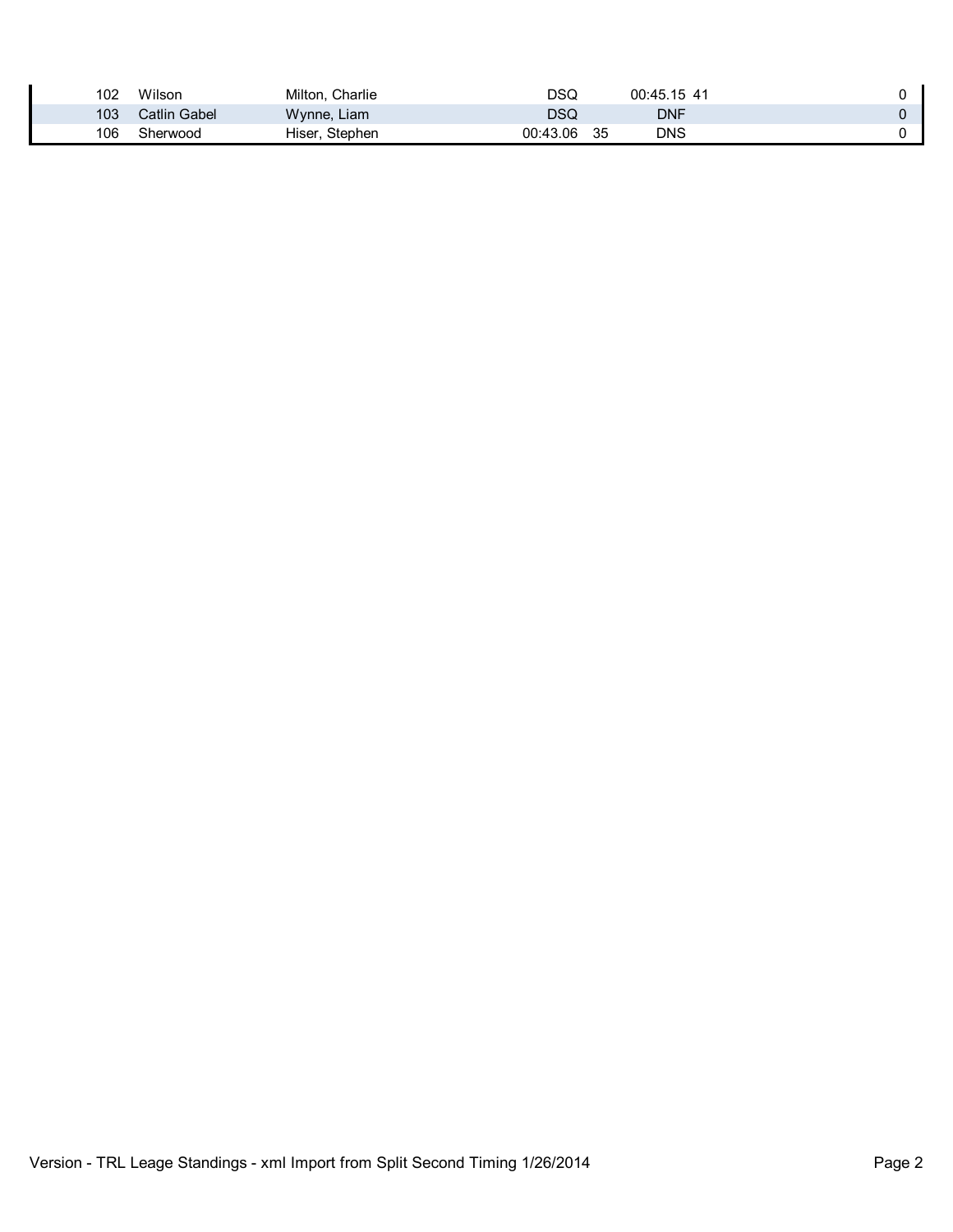| 102 | Wilson       | Milton, Charlie | DSQ      |     | 00:45.15 41 |  |
|-----|--------------|-----------------|----------|-----|-------------|--|
| 103 | Catlin Gabel | Wynne, Liam     | DSQ      |     | DNF         |  |
| 106 | Sherwood     | Hiser, Stephen  | 00:43.06 | -35 | DNS         |  |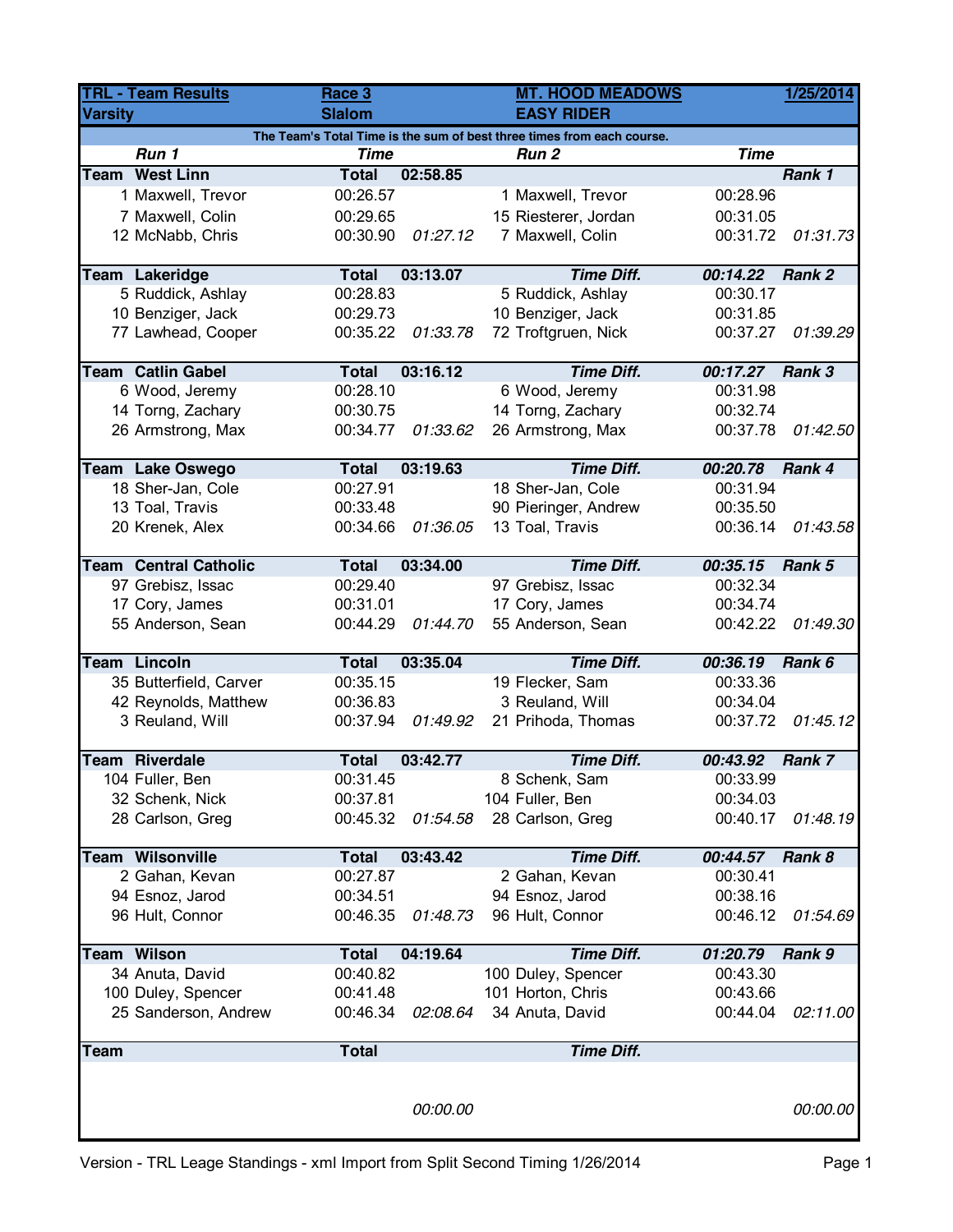| <b>TRL - Team Results</b>                                              |                              | Race 3        |          | <b>MT. HOOD MEADOWS</b> |             | 1/25/2014 |  |  |  |  |
|------------------------------------------------------------------------|------------------------------|---------------|----------|-------------------------|-------------|-----------|--|--|--|--|
| <b>Varsity</b>                                                         |                              | <b>Slalom</b> |          | <b>EASY RIDER</b>       |             |           |  |  |  |  |
| The Team's Total Time is the sum of best three times from each course. |                              |               |          |                         |             |           |  |  |  |  |
|                                                                        | Run 1                        | <b>Time</b>   |          | Run <sub>2</sub>        | <b>Time</b> |           |  |  |  |  |
|                                                                        | <b>Team West Linn</b>        | <b>Total</b>  | 02:58.85 |                         |             | Rank 1    |  |  |  |  |
|                                                                        | 1 Maxwell, Trevor            | 00:26.57      |          | 1 Maxwell, Trevor       | 00:28.96    |           |  |  |  |  |
|                                                                        | 7 Maxwell, Colin             | 00:29.65      |          | 15 Riesterer, Jordan    | 00:31.05    |           |  |  |  |  |
|                                                                        | 12 McNabb, Chris             | 00:30.90      | 01:27.12 | 7 Maxwell, Colin        | 00:31.72    | 01:31.73  |  |  |  |  |
|                                                                        |                              |               |          |                         |             |           |  |  |  |  |
|                                                                        | Team Lakeridge               | <b>Total</b>  | 03:13.07 | <b>Time Diff.</b>       | 00:14.22    | Rank 2    |  |  |  |  |
|                                                                        | 5 Ruddick, Ashlay            | 00:28.83      |          | 5 Ruddick, Ashlay       | 00:30.17    |           |  |  |  |  |
|                                                                        | 10 Benziger, Jack            | 00:29.73      |          | 10 Benziger, Jack       | 00:31.85    |           |  |  |  |  |
|                                                                        | 77 Lawhead, Cooper           | 00:35.22      | 01:33.78 | 72 Troftgruen, Nick     | 00:37.27    | 01:39.29  |  |  |  |  |
|                                                                        |                              |               |          |                         |             |           |  |  |  |  |
|                                                                        | <b>Team Catlin Gabel</b>     | <b>Total</b>  | 03:16.12 | <b>Time Diff.</b>       | 00:17.27    | Rank 3    |  |  |  |  |
|                                                                        | 6 Wood, Jeremy               | 00:28.10      |          | 6 Wood, Jeremy          | 00:31.98    |           |  |  |  |  |
|                                                                        | 14 Torng, Zachary            | 00:30.75      |          | 14 Torng, Zachary       | 00:32.74    |           |  |  |  |  |
|                                                                        | 26 Armstrong, Max            | 00:34.77      | 01:33.62 | 26 Armstrong, Max       | 00:37.78    | 01:42.50  |  |  |  |  |
|                                                                        | <b>Team Lake Oswego</b>      | <b>Total</b>  | 03:19.63 | <b>Time Diff.</b>       | 00:20.78    | Rank 4    |  |  |  |  |
|                                                                        | 18 Sher-Jan, Cole            | 00:27.91      |          | 18 Sher-Jan, Cole       | 00:31.94    |           |  |  |  |  |
|                                                                        |                              | 00:33.48      |          |                         | 00:35.50    |           |  |  |  |  |
|                                                                        | 13 Toal, Travis              |               |          | 90 Pieringer, Andrew    |             |           |  |  |  |  |
|                                                                        | 20 Krenek, Alex              | 00:34.66      | 01:36.05 | 13 Toal, Travis         | 00:36.14    | 01:43.58  |  |  |  |  |
|                                                                        | <b>Team Central Catholic</b> | <b>Total</b>  | 03:34.00 | <b>Time Diff.</b>       | 00:35.15    | Rank 5    |  |  |  |  |
|                                                                        | 97 Grebisz, Issac            | 00:29.40      |          | 97 Grebisz, Issac       | 00:32.34    |           |  |  |  |  |
|                                                                        | 17 Cory, James               | 00:31.01      |          | 17 Cory, James          | 00:34.74    |           |  |  |  |  |
|                                                                        | 55 Anderson, Sean            | 00:44.29      | 01:44.70 | 55 Anderson, Sean       | 00:42.22    | 01:49.30  |  |  |  |  |
|                                                                        |                              |               |          |                         |             |           |  |  |  |  |
|                                                                        | <b>Team Lincoln</b>          | <b>Total</b>  | 03:35.04 | <b>Time Diff.</b>       | 00:36.19    | Rank 6    |  |  |  |  |
|                                                                        | 35 Butterfield, Carver       | 00:35.15      |          | 19 Flecker, Sam         | 00:33.36    |           |  |  |  |  |
|                                                                        | 42 Reynolds, Matthew         | 00:36.83      |          | 3 Reuland, Will         | 00:34.04    |           |  |  |  |  |
|                                                                        | 3 Reuland, Will              | 00:37.94      | 01:49.92 | 21 Prihoda, Thomas      | 00:37.72    | 01:45.12  |  |  |  |  |
|                                                                        |                              |               |          |                         |             |           |  |  |  |  |
|                                                                        | <b>Team Riverdale</b>        | <b>Total</b>  | 03:42.77 | <b>Time Diff.</b>       | 00:43.92    | Rank 7    |  |  |  |  |
|                                                                        | 104 Fuller, Ben              | 00:31.45      |          | 8 Schenk, Sam           | 00:33.99    |           |  |  |  |  |
|                                                                        | 32 Schenk, Nick              | 00:37.81      |          | 104 Fuller, Ben         | 00:34.03    |           |  |  |  |  |
|                                                                        | 28 Carlson, Greg             | 00:45.32      | 01:54.58 | 28 Carlson, Greg        | 00:40.17    | 01:48.19  |  |  |  |  |
|                                                                        |                              |               |          |                         |             |           |  |  |  |  |
|                                                                        | <b>Team Wilsonville</b>      | <b>Total</b>  | 03:43.42 | <b>Time Diff.</b>       | 00:44.57    | Rank 8    |  |  |  |  |
|                                                                        | 2 Gahan, Kevan               | 00:27.87      |          | 2 Gahan, Kevan          | 00:30.41    |           |  |  |  |  |
|                                                                        | 94 Esnoz, Jarod              | 00:34.51      |          | 94 Esnoz, Jarod         | 00:38.16    |           |  |  |  |  |
|                                                                        | 96 Hult, Connor              | 00:46.35      | 01:48.73 | 96 Hult, Connor         | 00:46.12    | 01:54.69  |  |  |  |  |
|                                                                        |                              |               |          |                         |             |           |  |  |  |  |
|                                                                        | <b>Team Wilson</b>           | <b>Total</b>  | 04:19.64 | <b>Time Diff.</b>       | 01:20.79    | Rank 9    |  |  |  |  |
|                                                                        | 34 Anuta, David              | 00:40.82      |          | 100 Duley, Spencer      | 00:43.30    |           |  |  |  |  |
|                                                                        | 100 Duley, Spencer           | 00:41.48      |          | 101 Horton, Chris       | 00:43.66    |           |  |  |  |  |
|                                                                        | 25 Sanderson, Andrew         | 00:46.34      | 02:08.64 | 34 Anuta, David         | 00:44.04    | 02:11.00  |  |  |  |  |
| <b>Team</b>                                                            |                              | <b>Total</b>  |          | <b>Time Diff.</b>       |             |           |  |  |  |  |
|                                                                        |                              |               |          |                         |             |           |  |  |  |  |
|                                                                        |                              |               |          |                         |             |           |  |  |  |  |
|                                                                        |                              |               | 00:00.00 |                         |             | 00:00.00  |  |  |  |  |
|                                                                        |                              |               |          |                         |             |           |  |  |  |  |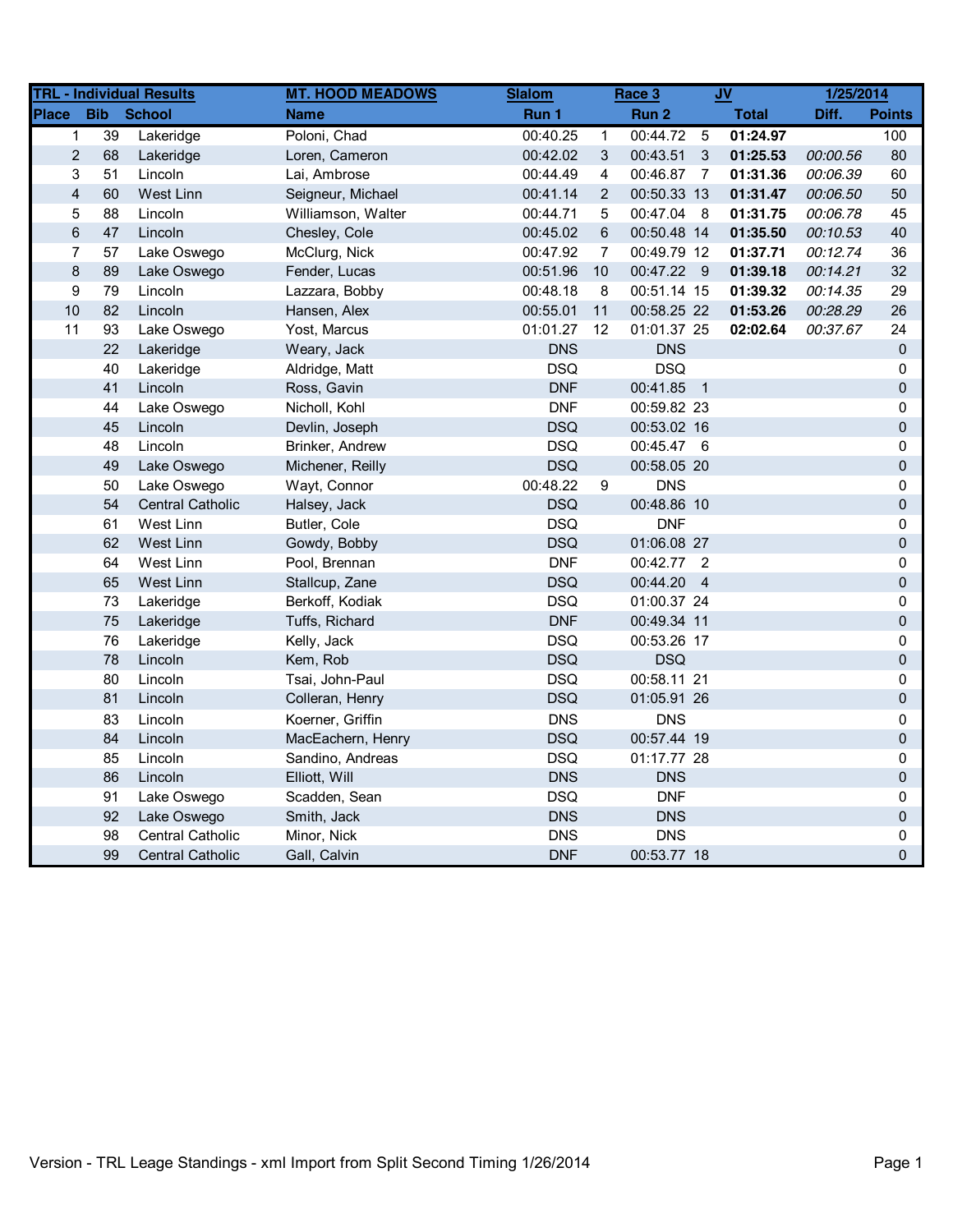|              |                               | <b>TRL - Individual Results</b> | <b>MT. HOOD MEADOWS</b> | <b>Slalom</b> |                | Race 3      |    | <b>JV</b>    | 1/25/2014 |               |
|--------------|-------------------------------|---------------------------------|-------------------------|---------------|----------------|-------------|----|--------------|-----------|---------------|
| <b>Place</b> | <b>Bib</b>                    | <b>School</b>                   | <b>Name</b>             | Run 1         |                | Run 2       |    | <b>Total</b> | Diff.     | <b>Points</b> |
|              | 39<br>$\mathbf 1$             | Lakeridge                       | Poloni, Chad            | 00:40.25      | 1              | 00:44.72    | -5 | 01:24.97     |           | 100           |
|              | $\overline{2}$<br>68          | Lakeridge                       | Loren, Cameron          | 00:42.02      | 3              | 00:43.51 3  |    | 01:25.53     | 00:00.56  | 80            |
|              | 3<br>51                       | Lincoln                         | Lai, Ambrose            | 00:44.49      | $\overline{4}$ | 00:46.87 7  |    | 01:31.36     | 00:06.39  | 60            |
|              | $\overline{\mathbf{4}}$<br>60 | West Linn                       | Seigneur, Michael       | 00:41.14      | $\overline{2}$ | 00:50.33 13 |    | 01:31.47     | 00:06.50  | 50            |
|              | 5<br>88                       | Lincoln                         | Williamson, Walter      | 00:44.71      | 5              | 00:47.04 8  |    | 01:31.75     | 00:06.78  | 45            |
|              | $\,6\,$<br>47                 | Lincoln                         | Chesley, Cole           | 00:45.02      | 6              | 00:50.48 14 |    | 01:35.50     | 00:10.53  | 40            |
|              | $\overline{7}$<br>57          | Lake Oswego                     | McClurg, Nick           | 00:47.92      | 7              | 00:49.79 12 |    | 01:37.71     | 00:12.74  | 36            |
|              | $\bf 8$<br>89                 | Lake Oswego                     | Fender, Lucas           | 00:51.96      | 10             | 00:47.22 9  |    | 01:39.18     | 00:14.21  | 32            |
|              | 9<br>79                       | Lincoln                         | Lazzara, Bobby          | 00:48.18      | 8              | 00:51.14 15 |    | 01:39.32     | 00:14.35  | 29            |
| 10           | 82                            | Lincoln                         | Hansen, Alex            | 00:55.01      | 11             | 00:58.25 22 |    | 01:53.26     | 00:28.29  | 26            |
| 11           | 93                            | Lake Oswego                     | Yost, Marcus            | 01:01.27      | 12             | 01:01.37 25 |    | 02:02.64     | 00:37.67  | 24            |
|              | 22                            | Lakeridge                       | Weary, Jack             | <b>DNS</b>    |                | <b>DNS</b>  |    |              |           | 0             |
|              | 40                            | Lakeridge                       | Aldridge, Matt          | <b>DSQ</b>    |                | <b>DSQ</b>  |    |              |           | 0             |
|              | 41                            | Lincoln                         | Ross, Gavin             | <b>DNF</b>    |                | 00:41.85 1  |    |              |           | 0             |
|              | 44                            | Lake Oswego                     | Nicholl, Kohl           | <b>DNF</b>    |                | 00:59.82 23 |    |              |           | 0             |
|              | 45                            | Lincoln                         | Devlin, Joseph          | <b>DSQ</b>    |                | 00:53.02 16 |    |              |           | 0             |
|              | 48                            | Lincoln                         | Brinker, Andrew         | <b>DSQ</b>    |                | 00:45.47 6  |    |              |           | 0             |
|              | 49                            | Lake Oswego                     | Michener, Reilly        | <b>DSQ</b>    |                | 00:58.05 20 |    |              |           | 0             |
|              | 50                            | Lake Oswego                     | Wayt, Connor            | 00:48.22      | 9              | <b>DNS</b>  |    |              |           | 0             |
|              | 54                            | <b>Central Catholic</b>         | Halsey, Jack            | <b>DSQ</b>    |                | 00:48.86 10 |    |              |           | 0             |
|              | 61                            | West Linn                       | Butler, Cole            | <b>DSQ</b>    |                | <b>DNF</b>  |    |              |           | 0             |
|              | 62                            | West Linn                       | Gowdy, Bobby            | <b>DSQ</b>    |                | 01:06.08 27 |    |              |           | 0             |
|              | 64                            | West Linn                       | Pool, Brennan           | <b>DNF</b>    |                | 00:42.77 2  |    |              |           | 0             |
|              | 65                            | West Linn                       | Stallcup, Zane          | <b>DSQ</b>    |                | 00:44.20 4  |    |              |           | 0             |
|              | 73                            | Lakeridge                       | Berkoff, Kodiak         | <b>DSQ</b>    |                | 01:00.37 24 |    |              |           | 0             |
|              | 75                            | Lakeridge                       | Tuffs, Richard          | <b>DNF</b>    |                | 00:49.34 11 |    |              |           | 0             |
|              | 76                            | Lakeridge                       | Kelly, Jack             | <b>DSQ</b>    |                | 00:53.26 17 |    |              |           | 0             |
|              | 78                            | Lincoln                         | Kem, Rob                | <b>DSQ</b>    |                | <b>DSQ</b>  |    |              |           | 0             |
|              | 80                            | Lincoln                         | Tsai, John-Paul         | <b>DSQ</b>    |                | 00:58.11 21 |    |              |           | 0             |
|              | 81                            | Lincoln                         | Colleran, Henry         | <b>DSQ</b>    |                | 01:05.91 26 |    |              |           | 0             |
|              | 83                            | Lincoln                         | Koerner, Griffin        | <b>DNS</b>    |                | <b>DNS</b>  |    |              |           | 0             |
|              | 84                            | Lincoln                         | MacEachern, Henry       | <b>DSQ</b>    |                | 00:57.44 19 |    |              |           | 0             |
|              | 85                            | Lincoln                         | Sandino, Andreas        | <b>DSQ</b>    |                | 01:17.77 28 |    |              |           | 0             |
|              | 86                            | Lincoln                         | Elliott, Will           | <b>DNS</b>    |                | <b>DNS</b>  |    |              |           | 0             |
|              | 91                            | Lake Oswego                     | Scadden, Sean           | <b>DSQ</b>    |                | <b>DNF</b>  |    |              |           | 0             |
|              | 92                            | Lake Oswego                     | Smith, Jack             | <b>DNS</b>    |                | <b>DNS</b>  |    |              |           | 0             |
|              | 98                            | <b>Central Catholic</b>         | Minor, Nick             | <b>DNS</b>    |                | <b>DNS</b>  |    |              |           | 0             |
|              | 99                            | <b>Central Catholic</b>         | Gall, Calvin            | <b>DNF</b>    |                | 00:53.77 18 |    |              |           | 0             |